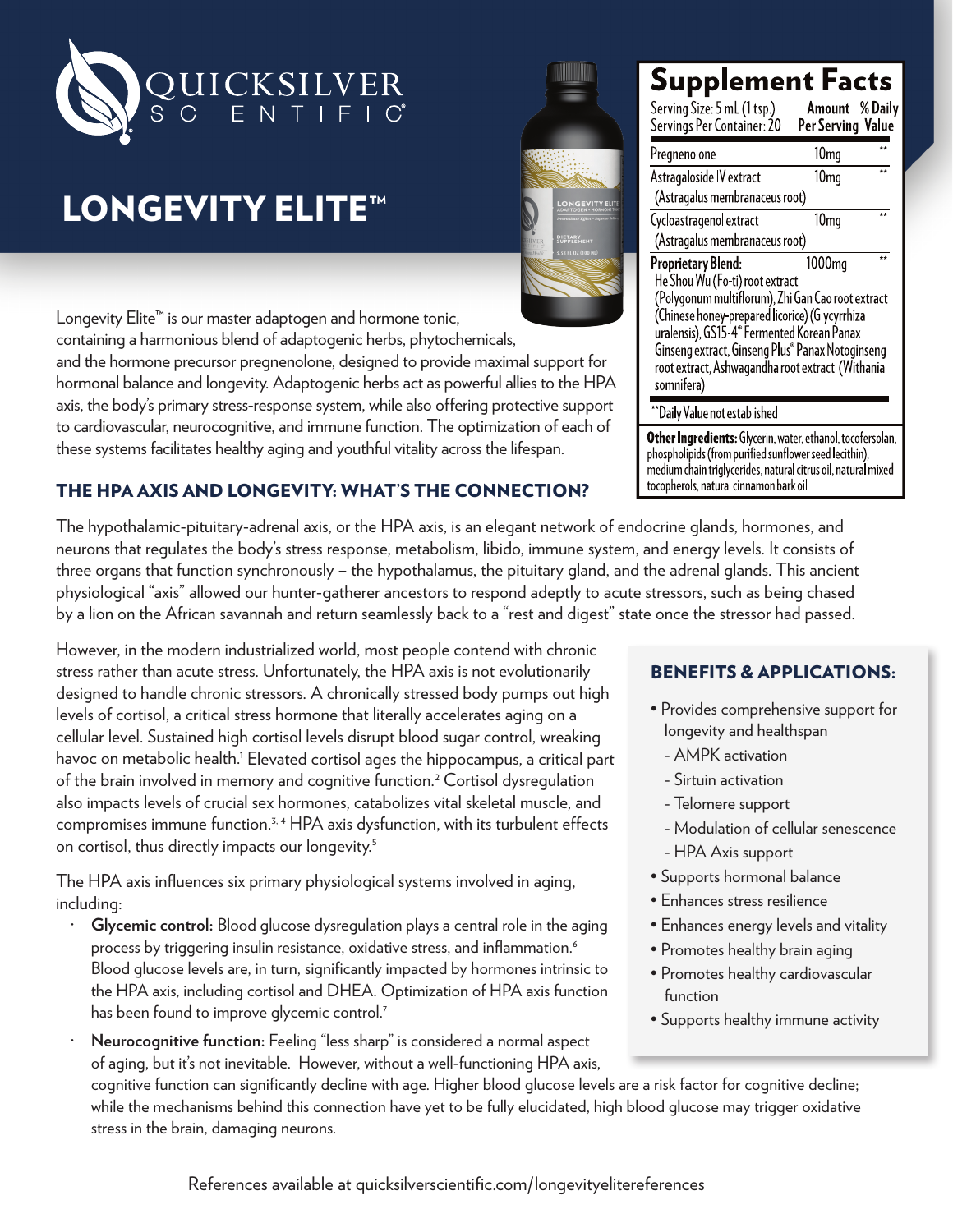

# LONGEVITY ELITE™

Longevity Elite™ is our master adaptogen and hormone tonic, containing a harmonious blend of adaptogenic herbs, phytochemicals, and the hormone precursor pregnenolone, designed to provide maximal support for hormonal balance and longevity. Adaptogenic herbs act as powerful allies to the HPA axis, the body's primary stress-response system, while also offering protective support to cardiovascular, neurocognitive, and immune function. The optimization of each of these systems facilitates healthy aging and youthful vitality across the lifespan.

#### THE HPA AXIS AND LONGEVITY: WHAT'S THE CONNECTION?

The hypothalamic-pituitary-adrenal axis, or the HPA axis, is an elegant network of endocrine glands, hormones, and neurons that regulates the body's stress response, metabolism, libido, immune system, and energy levels. It consists of three organs that function synchronously – the hypothalamus, the pituitary gland, and the adrenal glands. This ancient physiological "axis" allowed our hunter-gatherer ancestors to respond adeptly to acute stressors, such as being chased by a lion on the African savannah and return seamlessly back to a "rest and digest" state once the stressor had passed.

However, in the modern industrialized world, most people contend with chronic stress rather than acute stress. Unfortunately, the HPA axis is not evolutionarily designed to handle chronic stressors. A chronically stressed body pumps out high levels of cortisol, a critical stress hormone that literally accelerates aging on a cellular level. Sustained high cortisol levels disrupt blood sugar control, wreaking havoc on metabolic health.<sup>1</sup> Elevated cortisol ages the hippocampus, a critical part of the brain involved in memory and cognitive function.<sup>2</sup> Cortisol dysregulation also impacts levels of crucial sex hormones, catabolizes vital skeletal muscle, and compromises immune function.<sup>3, 4</sup> HPA axis dysfunction, with its turbulent effects on cortisol, thus directly impacts our longevity.<sup>5</sup>

The HPA axis influences six primary physiological systems involved in aging, including:

- **· Glycemic control:** Blood glucose dysregulation plays a central role in the aging process by triggering insulin resistance, oxidative stress, and inflammation.<sup>6</sup> Blood glucose levels are, in turn, significantly impacted by hormones intrinsic to the HPA axis, including cortisol and DHEA. Optimization of HPA axis function has been found to improve glycemic control.<sup>7</sup>
- **· Neurocognitive function:** Feeling "less sharp" is considered a normal aspect of aging, but it's not inevitable. However, without a well-functioning HPA axis,

cognitive function can significantly decline with age. Higher blood glucose levels are a risk factor for cognitive decline; while the mechanisms behind this connection have yet to be fully elucidated, high blood glucose may trigger oxidative stress in the brain, damaging neurons.



# **Supplement Facts**

Serving Size: 5 mL (1 tsp.) Amount % Daily Servings Per Container: 20 Per Serving Value Pregnenolone  $10<sub>mq</sub>$ Astragaloside IV extract  $10<sub>ma</sub>$ (Astragalus membranaceus root) Cycloastragenol extract  $10<sub>mq</sub>$ (Astragalus membranaceus root) 1000<sub>mq</sub> Proprietary Blend: He Shou Wu (Fo-ti) root extract (Polygonum multiflorum), Zhi Gan Cao root extract (Chinese honey-prepared licorice) (Glycyrrhiza uralensis), GS15-4<sup>®</sup> Fermented Korean Panax Ginseng extract, Ginseng Plus® Panax Notoginseng root extract, Ashwagandha root extract (Withania somnifera)

\*Daily Value not established

Other Ingredients: Glycerin, water, ethanol, tocofersolan, phospholipids (from purified sunflower seed lecithin), medium chain triglycerides, natural citrus oil, natural mixed tocopherols, natural cinnamon bark oil

### BENEFITS & APPLICATIONS:

- Provides comprehensive support for longevity and healthspan
	- AMPK activation
	- Sirtuin activation
	- Telomere support
	- Modulation of cellular senescence
	- HPA Axis support
- Supports hormonal balance
- Enhances stress resilience
- Enhances energy levels and vitality
- Promotes healthy brain aging
- Promotes healthy cardiovascular function
- Supports healthy immune activity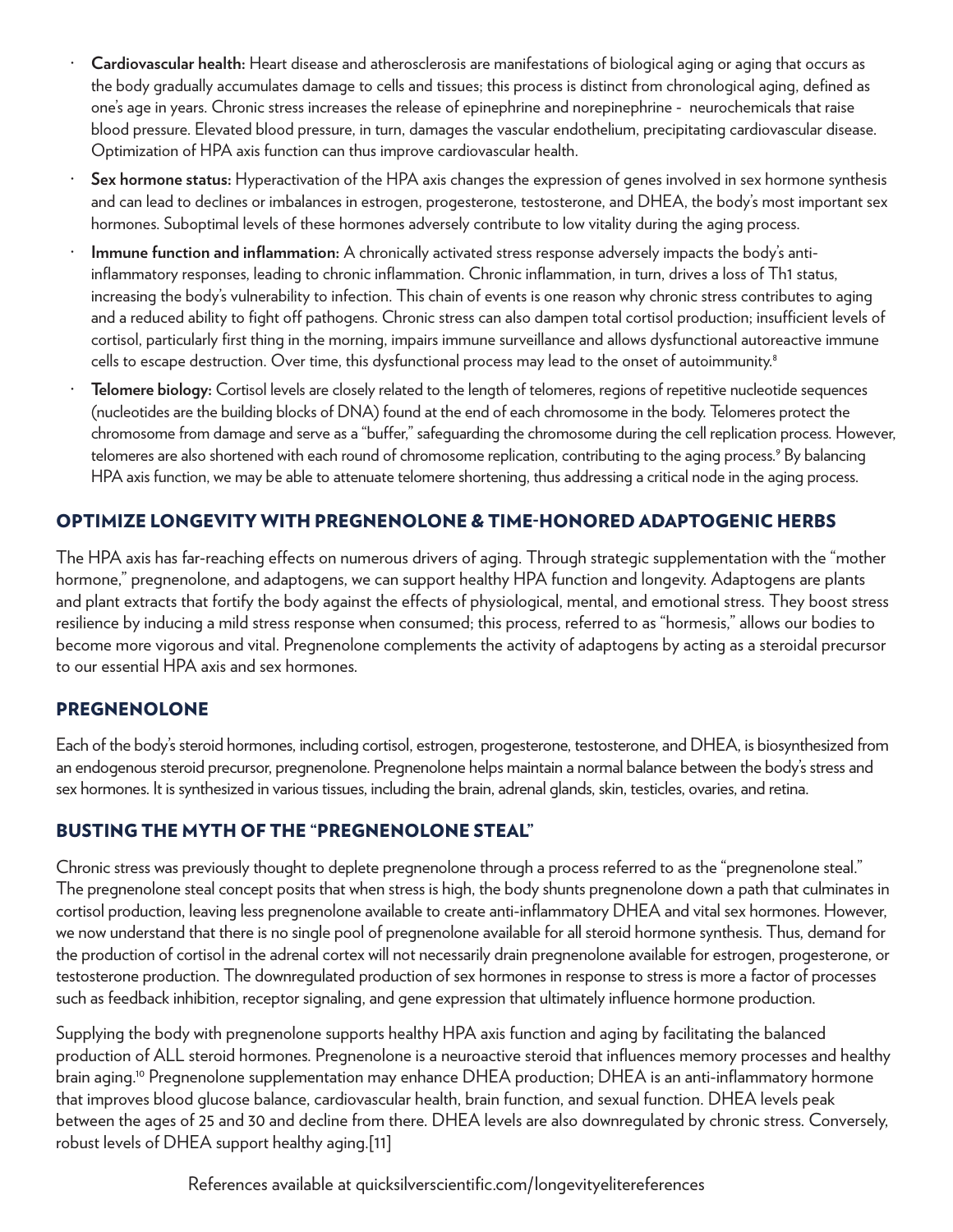- **· Cardiovascular health:** Heart disease and atherosclerosis are manifestations of biological aging or aging that occurs as the body gradually accumulates damage to cells and tissues; this process is distinct from chronological aging, defined as one's age in years. Chronic stress increases the release of epinephrine and norepinephrine - neurochemicals that raise blood pressure. Elevated blood pressure, in turn, damages the vascular endothelium, precipitating cardiovascular disease. Optimization of HPA axis function can thus improve cardiovascular health.
- **· Sex hormone status:** Hyperactivation of the HPA axis changes the expression of genes involved in sex hormone synthesis and can lead to declines or imbalances in estrogen, progesterone, testosterone, and DHEA, the body's most important sex hormones. Suboptimal levels of these hormones adversely contribute to low vitality during the aging process.
- **· Immune function and inflammation:** A chronically activated stress response adversely impacts the body's antiinflammatory responses, leading to chronic inflammation. Chronic inflammation, in turn, drives a loss of Th1 status, increasing the body's vulnerability to infection. This chain of events is one reason why chronic stress contributes to aging and a reduced ability to fight off pathogens. Chronic stress can also dampen total cortisol production; insufficient levels of cortisol, particularly first thing in the morning, impairs immune surveillance and allows dysfunctional autoreactive immune cells to escape destruction. Over time, this dysfunctional process may lead to the onset of autoimmunity.<sup>8</sup>
- **· Telomere biology:** Cortisol levels are closely related to the length of telomeres, regions of repetitive nucleotide sequences (nucleotides are the building blocks of DNA) found at the end of each chromosome in the body. Telomeres protect the chromosome from damage and serve as a "buffer," safeguarding the chromosome during the cell replication process. However, telomeres are also shortened with each round of chromosome replication, contributing to the aging process.<sup>9</sup> By balancing HPA axis function, we may be able to attenuate telomere shortening, thus addressing a critical node in the aging process.

### OPTIMIZE LONGEVITY WITH PREGNENOLONE & TIME-HONORED ADAPTOGENIC HERBS

The HPA axis has far-reaching effects on numerous drivers of aging. Through strategic supplementation with the "mother hormone," pregnenolone, and adaptogens, we can support healthy HPA function and longevity. Adaptogens are plants and plant extracts that fortify the body against the effects of physiological, mental, and emotional stress. They boost stress resilience by inducing a mild stress response when consumed; this process, referred to as "hormesis," allows our bodies to become more vigorous and vital. Pregnenolone complements the activity of adaptogens by acting as a steroidal precursor to our essential HPA axis and sex hormones.

#### PREGNENOLONE

Each of the body's steroid hormones, including cortisol, estrogen, progesterone, testosterone, and DHEA, is biosynthesized from an endogenous steroid precursor, pregnenolone. Pregnenolone helps maintain a normal balance between the body's stress and sex hormones. It is synthesized in various tissues, including the brain, adrenal glands, skin, testicles, ovaries, and retina.

#### BUSTING THE MYTH OF THE "PREGNENOLONE STEAL"

Chronic stress was previously thought to deplete pregnenolone through a process referred to as the "pregnenolone steal." The pregnenolone steal concept posits that when stress is high, the body shunts pregnenolone down a path that culminates in cortisol production, leaving less pregnenolone available to create anti-inflammatory DHEA and vital sex hormones. However, we now understand that there is no single pool of pregnenolone available for all steroid hormone synthesis. Thus, demand for the production of cortisol in the adrenal cortex will not necessarily drain pregnenolone available for estrogen, progesterone, or testosterone production. The downregulated production of sex hormones in response to stress is more a factor of processes such as feedback inhibition, receptor signaling, and gene expression that ultimately influence hormone production.

Supplying the body with pregnenolone supports healthy HPA axis function and aging by facilitating the balanced production of ALL steroid hormones. Pregnenolone is a neuroactive steroid that influences memory processes and healthy brain aging.10 Pregnenolone supplementation may enhance DHEA production; DHEA is an anti-inflammatory hormone that improves blood glucose balance, cardiovascular health, brain function, and sexual function. DHEA levels peak between the ages of 25 and 30 and decline from there. DHEA levels are also downregulated by chronic stress. Conversely, robust levels of DHEA support healthy aging.[11]

References available at quicksilverscientific.com/longevityelitereferences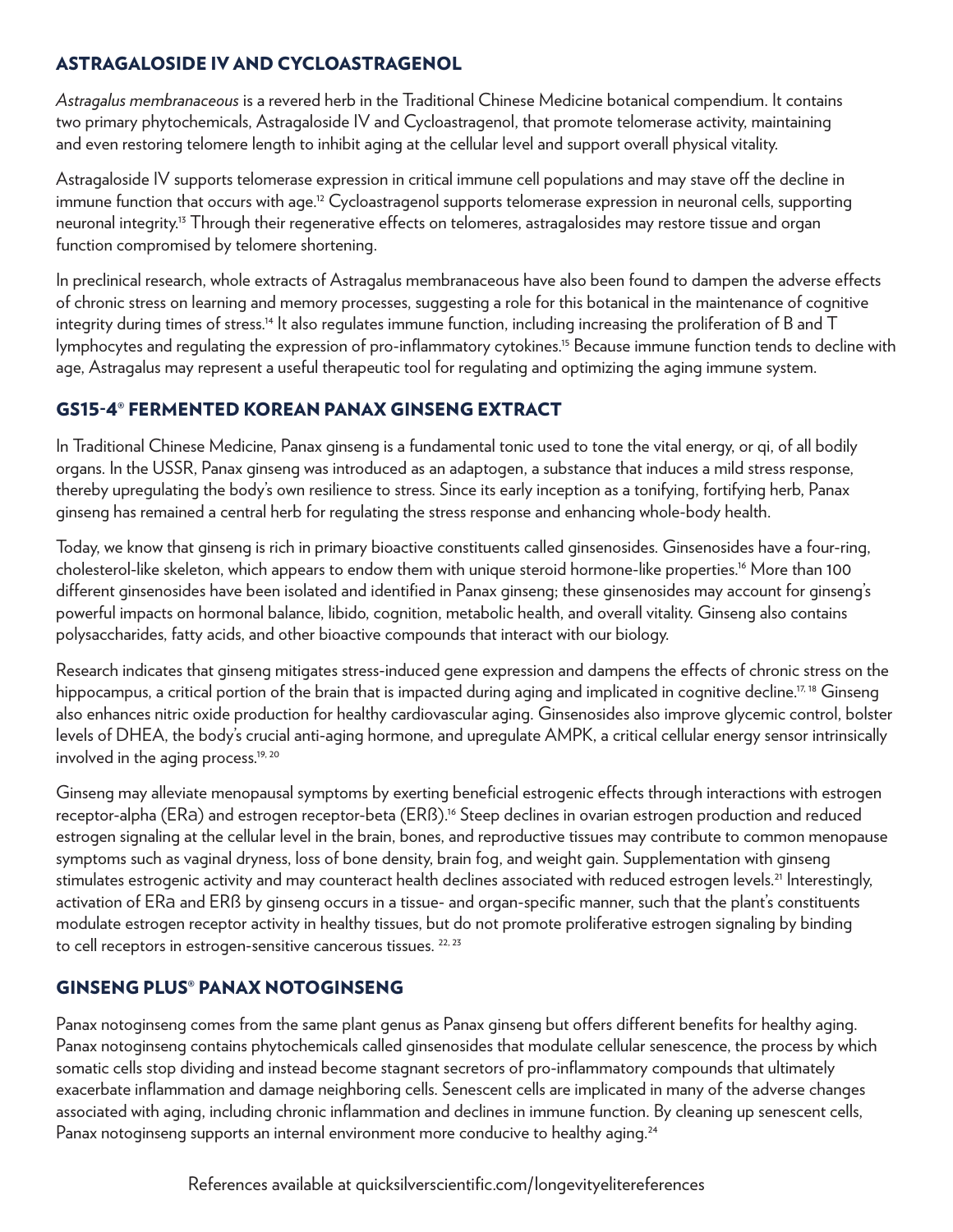#### ASTRAGALOSIDE IV AND CYCLOASTRAGENOL

*Astragalus membranaceous* is a revered herb in the Traditional Chinese Medicine botanical compendium. It contains two primary phytochemicals, Astragaloside IV and Cycloastragenol, that promote telomerase activity, maintaining and even restoring telomere length to inhibit aging at the cellular level and support overall physical vitality.

Astragaloside IV supports telomerase expression in critical immune cell populations and may stave off the decline in immune function that occurs with age.<sup>12</sup> Cycloastragenol supports telomerase expression in neuronal cells, supporting neuronal integrity.13 Through their regenerative effects on telomeres, astragalosides may restore tissue and organ function compromised by telomere shortening.

In preclinical research, whole extracts of Astragalus membranaceous have also been found to dampen the adverse effects of chronic stress on learning and memory processes, suggesting a role for this botanical in the maintenance of cognitive integrity during times of stress.<sup>14</sup> It also regulates immune function, including increasing the proliferation of B and T lymphocytes and regulating the expression of pro-inflammatory cytokines.15 Because immune function tends to decline with age, Astragalus may represent a useful therapeutic tool for regulating and optimizing the aging immune system.

## GS15-4® FERMENTED KOREAN PANAX GINSENG EXTRACT

In Traditional Chinese Medicine, Panax ginseng is a fundamental tonic used to tone the vital energy, or qi, of all bodily organs. In the USSR, Panax ginseng was introduced as an adaptogen, a substance that induces a mild stress response, thereby upregulating the body's own resilience to stress. Since its early inception as a tonifying, fortifying herb, Panax ginseng has remained a central herb for regulating the stress response and enhancing whole-body health.

Today, we know that ginseng is rich in primary bioactive constituents called ginsenosides. Ginsenosides have a four-ring, cholesterol-like skeleton, which appears to endow them with unique steroid hormone-like properties.16 More than 100 different ginsenosides have been isolated and identified in Panax ginseng; these ginsenosides may account for ginseng's powerful impacts on hormonal balance, libido, cognition, metabolic health, and overall vitality. Ginseng also contains polysaccharides, fatty acids, and other bioactive compounds that interact with our biology.

Research indicates that ginseng mitigates stress-induced gene expression and dampens the effects of chronic stress on the hippocampus, a critical portion of the brain that is impacted during aging and implicated in cognitive decline.<sup>17, 18</sup> Ginseng also enhances nitric oxide production for healthy cardiovascular aging. Ginsenosides also improve glycemic control, bolster levels of DHEA, the body's crucial anti-aging hormone, and upregulate AMPK, a critical cellular energy sensor intrinsically involved in the aging process.<sup>19, 20</sup>

Ginseng may alleviate menopausal symptoms by exerting beneficial estrogenic effects through interactions with estrogen receptor-alpha (ERa) and estrogen receptor-beta (ERß).16 Steep declines in ovarian estrogen production and reduced estrogen signaling at the cellular level in the brain, bones, and reproductive tissues may contribute to common menopause symptoms such as vaginal dryness, loss of bone density, brain fog, and weight gain. Supplementation with ginseng stimulates estrogenic activity and may counteract health declines associated with reduced estrogen levels.<sup>21</sup> Interestingly, activation of ERa and ERß by ginseng occurs in a tissue- and organ-specific manner, such that the plant's constituents modulate estrogen receptor activity in healthy tissues, but do not promote proliferative estrogen signaling by binding to cell receptors in estrogen-sensitive cancerous tissues.<sup>22, 23</sup>

### GINSENG PLUS® PANAX NOTOGINSENG

Panax notoginseng comes from the same plant genus as Panax ginseng but offers different benefits for healthy aging. Panax notoginseng contains phytochemicals called ginsenosides that modulate cellular senescence, the process by which somatic cells stop dividing and instead become stagnant secretors of pro-inflammatory compounds that ultimately exacerbate inflammation and damage neighboring cells. Senescent cells are implicated in many of the adverse changes associated with aging, including chronic inflammation and declines in immune function. By cleaning up senescent cells, Panax notoginseng supports an internal environment more conducive to healthy aging.<sup>24</sup>